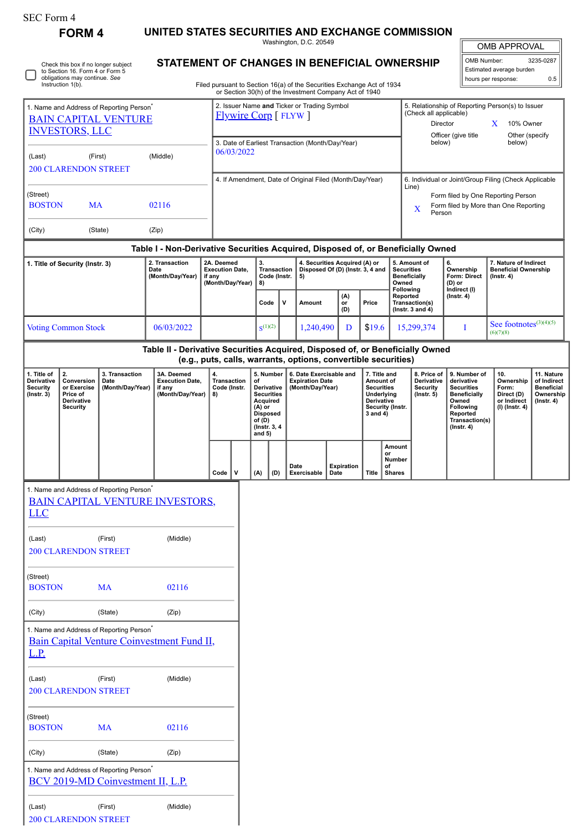| SEC Form 4 |  |
|------------|--|
|------------|--|

**FORM 4 UNITED STATES SECURITIES AND EXCHANGE COMMISSION**

Washington, D.C. 20549

|  | Check this box if no longer subject<br>to Section 16. Form 4 or Form 5<br>obligations may continue. See<br>Instruction 1(b). |
|--|------------------------------------------------------------------------------------------------------------------------------|
|--|------------------------------------------------------------------------------------------------------------------------------|

(Last) (First) (Middle)

200 CLARENDON STREET

## **STATEMENT OF CHANGES IN BENEFICIAL OWNERSHIP**

Filed pursuant to Section 16(a) of the Securities Exchange Act of 1934 or Section 30(h) of the Investment Company Act of 1940

| <b>OMB APPROVAL</b>      |           |  |  |  |
|--------------------------|-----------|--|--|--|
| OMB Number:              | 3235-0287 |  |  |  |
| Estimated average burden |           |  |  |  |

hours per response: 0.5

| 1. Name and Address of Reporting Person <sup>7</sup><br><b>BAIN CAPITAL VENTURE</b><br><b>INVESTORS, LLC</b> |                                                                                                                                                                                                  |                                                                                                  | 2. Issuer Name and Ticker or Trading Symbol<br><b>Flywire Corp</b> [FLYW]        |                                                |                                                                |                                                                                                                                      |              |                                                                         | 5. Relationship of Reporting Person(s) to Issuer<br>(Check all applicable)<br>Director<br>X<br>10% Owner<br>Officer (give title<br>Other (specify |                                                                                        |                  |                                                                   |                                                                 |                                                                                                                                          |                                                                             |                                                                                 |  |
|--------------------------------------------------------------------------------------------------------------|--------------------------------------------------------------------------------------------------------------------------------------------------------------------------------------------------|--------------------------------------------------------------------------------------------------|----------------------------------------------------------------------------------|------------------------------------------------|----------------------------------------------------------------|--------------------------------------------------------------------------------------------------------------------------------------|--------------|-------------------------------------------------------------------------|---------------------------------------------------------------------------------------------------------------------------------------------------|----------------------------------------------------------------------------------------|------------------|-------------------------------------------------------------------|-----------------------------------------------------------------|------------------------------------------------------------------------------------------------------------------------------------------|-----------------------------------------------------------------------------|---------------------------------------------------------------------------------|--|
| (Last)                                                                                                       | (First)<br><b>200 CLARENDON STREET</b>                                                                                                                                                           |                                                                                                  | (Middle)                                                                         |                                                | 3. Date of Earliest Transaction (Month/Day/Year)<br>06/03/2022 |                                                                                                                                      |              |                                                                         |                                                                                                                                                   | below)                                                                                 |                  | below)                                                            |                                                                 |                                                                                                                                          |                                                                             |                                                                                 |  |
|                                                                                                              |                                                                                                                                                                                                  |                                                                                                  |                                                                                  |                                                |                                                                |                                                                                                                                      |              |                                                                         | 4. If Amendment, Date of Original Filed (Month/Day/Year)                                                                                          |                                                                                        |                  |                                                                   |                                                                 |                                                                                                                                          | 6. Individual or Joint/Group Filing (Check Applicable                       |                                                                                 |  |
| (Street)<br><b>BOSTON</b>                                                                                    | <b>MA</b>                                                                                                                                                                                        |                                                                                                  | 02116                                                                            |                                                |                                                                |                                                                                                                                      |              |                                                                         |                                                                                                                                                   |                                                                                        |                  |                                                                   | Line)<br>X                                                      | Person                                                                                                                                   | Form filed by One Reporting Person<br>Form filed by More than One Reporting |                                                                                 |  |
| (City)                                                                                                       |                                                                                                                                                                                                  | (State)                                                                                          | (Zip)                                                                            |                                                |                                                                |                                                                                                                                      |              |                                                                         |                                                                                                                                                   |                                                                                        |                  |                                                                   |                                                                 |                                                                                                                                          |                                                                             |                                                                                 |  |
|                                                                                                              |                                                                                                                                                                                                  |                                                                                                  | Table I - Non-Derivative Securities Acquired, Disposed of, or Beneficially Owned |                                                |                                                                |                                                                                                                                      |              |                                                                         |                                                                                                                                                   |                                                                                        |                  |                                                                   |                                                                 |                                                                                                                                          |                                                                             |                                                                                 |  |
|                                                                                                              | 1. Title of Security (Instr. 3)                                                                                                                                                                  |                                                                                                  | 2. Transaction<br>Date<br>(Month/Day/Year)                                       | if any                                         | 2A. Deemed<br><b>Execution Date,</b><br>(Month/Day/Year)       | 3.<br><b>Transaction</b><br>Code (Instr.<br>8)                                                                                       |              | 4. Securities Acquired (A) or<br>Disposed Of (D) (Instr. 3, 4 and<br>5) |                                                                                                                                                   |                                                                                        |                  | 5. Amount of<br><b>Securities</b><br><b>Beneficially</b><br>Owned |                                                                 | 6.<br>Ownership<br>Form: Direct<br>(D) or                                                                                                | 7. Nature of Indirect<br><b>Beneficial Ownership</b><br>$($ Instr. 4 $)$    |                                                                                 |  |
|                                                                                                              |                                                                                                                                                                                                  |                                                                                                  |                                                                                  |                                                |                                                                | Code                                                                                                                                 |              | V                                                                       | <b>Amount</b>                                                                                                                                     | (A)<br>or<br>(D)                                                                       | Price            |                                                                   | Following<br>Reported<br>Transaction(s)<br>( $lnstr. 3 and 4$ ) |                                                                                                                                          | Indirect (I)<br>$($ Instr. 4 $)$                                            |                                                                                 |  |
|                                                                                                              | <b>Voting Common Stock</b>                                                                                                                                                                       |                                                                                                  | 06/03/2022                                                                       |                                                |                                                                |                                                                                                                                      | $S^{(1)(2)}$ |                                                                         | 1,240,490                                                                                                                                         | D                                                                                      | \$19.6           |                                                                   | 15,299,374                                                      |                                                                                                                                          | I                                                                           | See footnotes $(3)(4)(5)$<br>(6)(7)(8)                                          |  |
|                                                                                                              |                                                                                                                                                                                                  |                                                                                                  | Table II - Derivative Securities Acquired, Disposed of, or Beneficially Owned    |                                                | (e.g., puts, calls, warrants, options, convertible securities) |                                                                                                                                      |              |                                                                         |                                                                                                                                                   |                                                                                        |                  |                                                                   |                                                                 |                                                                                                                                          |                                                                             |                                                                                 |  |
| 1. Title of<br>Derivative<br>Security<br>$($ Instr. 3 $)$                                                    | 2.<br>3A. Deemed<br>3. Transaction<br>Conversion<br><b>Execution Date,</b><br>Date<br>(Month/Day/Year)<br>or Exercise<br>if any<br>(Month/Day/Year)<br>Price of<br>Derivative<br><b>Security</b> |                                                                                                  |                                                                                  | 4.<br><b>Transaction</b><br>Code (Instr.<br>8) |                                                                | 5. Number<br>of<br>Derivative<br><b>Securities</b><br>Acquired<br>$(A)$ or<br><b>Disposed</b><br>of (D)<br>(Instr. 3, 4)<br>and $5)$ |              | 6. Date Exercisable and<br><b>Expiration Date</b><br>(Month/Day/Year)   |                                                                                                                                                   | 7. Title and<br>Amount of<br><b>Securities</b><br>Underlying<br>Derivative<br>3 and 4) | Security (Instr. | 8. Price of<br>Derivative<br>Security<br>$($ Instr. 5 $)$         |                                                                 | 9. Number of<br>derivative<br><b>Securities</b><br><b>Beneficially</b><br>Owned<br>Following<br>Reported<br>Transaction(s)<br>(Instr. 4) | 10.<br>Ownership<br>Form:<br>Direct (D)<br>or Indirect<br>(I) (Instr. 4)    | 11. Nature<br>of Indirect<br><b>Beneficial</b><br>Ownership<br>$($ Instr. 4 $)$ |  |
|                                                                                                              |                                                                                                                                                                                                  |                                                                                                  |                                                                                  |                                                | $\mathsf{v}$<br>Code                                           | (A)                                                                                                                                  | (D)          | Date                                                                    | Exercisable                                                                                                                                       | <b>Expiration</b><br>Date                                                              | <b>Title</b>     | Amount<br>or<br>Number<br>of<br><b>Shares</b>                     |                                                                 |                                                                                                                                          |                                                                             |                                                                                 |  |
| <b>LLC</b>                                                                                                   |                                                                                                                                                                                                  | 1. Name and Address of Reporting Person                                                          | <b>BAIN CAPITAL VENTURE INVESTORS,</b>                                           |                                                |                                                                |                                                                                                                                      |              |                                                                         |                                                                                                                                                   |                                                                                        |                  |                                                                   |                                                                 |                                                                                                                                          |                                                                             |                                                                                 |  |
| (Last)                                                                                                       | <b>200 CLARENDON STREET</b>                                                                                                                                                                      | (First)                                                                                          | (Middle)                                                                         |                                                |                                                                |                                                                                                                                      |              |                                                                         |                                                                                                                                                   |                                                                                        |                  |                                                                   |                                                                 |                                                                                                                                          |                                                                             |                                                                                 |  |
| (Street)<br><b>BOSTON</b>                                                                                    |                                                                                                                                                                                                  | <b>MA</b>                                                                                        | 02116                                                                            |                                                |                                                                |                                                                                                                                      |              |                                                                         |                                                                                                                                                   |                                                                                        |                  |                                                                   |                                                                 |                                                                                                                                          |                                                                             |                                                                                 |  |
| (City)                                                                                                       |                                                                                                                                                                                                  | (State)                                                                                          | (Zip)                                                                            |                                                |                                                                |                                                                                                                                      |              |                                                                         |                                                                                                                                                   |                                                                                        |                  |                                                                   |                                                                 |                                                                                                                                          |                                                                             |                                                                                 |  |
| <u>L.P.</u>                                                                                                  |                                                                                                                                                                                                  | 1. Name and Address of Reporting Person <sup>*</sup>                                             | Bain Capital Venture Coinvestment Fund II,                                       |                                                |                                                                |                                                                                                                                      |              |                                                                         |                                                                                                                                                   |                                                                                        |                  |                                                                   |                                                                 |                                                                                                                                          |                                                                             |                                                                                 |  |
| (Last)                                                                                                       | <b>200 CLARENDON STREET</b>                                                                                                                                                                      | (First)                                                                                          | (Middle)                                                                         |                                                |                                                                |                                                                                                                                      |              |                                                                         |                                                                                                                                                   |                                                                                        |                  |                                                                   |                                                                 |                                                                                                                                          |                                                                             |                                                                                 |  |
| (Street)<br><b>BOSTON</b>                                                                                    |                                                                                                                                                                                                  | <b>MA</b>                                                                                        | 02116                                                                            |                                                |                                                                |                                                                                                                                      |              |                                                                         |                                                                                                                                                   |                                                                                        |                  |                                                                   |                                                                 |                                                                                                                                          |                                                                             |                                                                                 |  |
| (City)                                                                                                       |                                                                                                                                                                                                  | (State)                                                                                          | (Zip)                                                                            |                                                |                                                                |                                                                                                                                      |              |                                                                         |                                                                                                                                                   |                                                                                        |                  |                                                                   |                                                                 |                                                                                                                                          |                                                                             |                                                                                 |  |
|                                                                                                              |                                                                                                                                                                                                  | 1. Name and Address of Reporting Person <sup>*</sup><br><b>BCV 2019-MD Coinvestment II, L.P.</b> |                                                                                  |                                                |                                                                |                                                                                                                                      |              |                                                                         |                                                                                                                                                   |                                                                                        |                  |                                                                   |                                                                 |                                                                                                                                          |                                                                             |                                                                                 |  |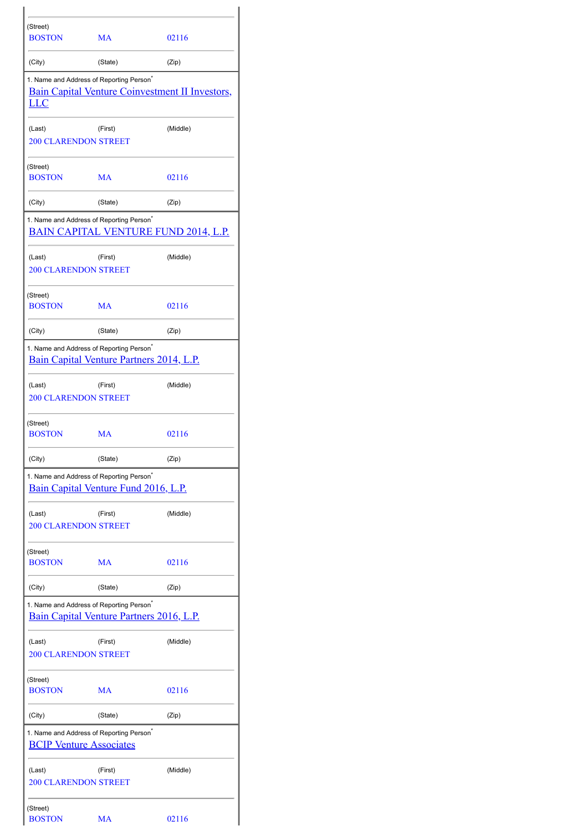| (Street)<br><b>BOSTON</b>             | MA                                                                                               | 02116                                                  |
|---------------------------------------|--------------------------------------------------------------------------------------------------|--------------------------------------------------------|
| (City)                                | (State)                                                                                          | (Zip)                                                  |
| LLC                                   | 1. Name and Address of Reporting Person <sup>®</sup>                                             | <b>Bain Capital Venture Coinvestment II Investors,</b> |
| (Last)<br><b>200 CLARENDON STREET</b> | (First)                                                                                          | (Middle)                                               |
| (Street)<br><b>BOSTON</b>             | MA                                                                                               | 02116                                                  |
| (City)                                | (State)                                                                                          | (Zip)                                                  |
|                                       | 1. Name and Address of Reporting Person <sup>®</sup>                                             | <b>BAIN CAPITAL VENTURE FUND 2014, L.P.</b>            |
| (Last)<br><b>200 CLARENDON STREET</b> | (First)                                                                                          | (Middle)                                               |
| (Street)<br><b>BOSTON</b>             | MA                                                                                               | 02116                                                  |
| (City)                                | (State)                                                                                          | (Zip)                                                  |
|                                       | 1. Name and Address of Reporting Person <sup>®</sup><br>Bain Capital Venture Partners 2014, L.P. |                                                        |
| (Last)<br><b>200 CLARENDON STREET</b> | (First)                                                                                          | (Middle)                                               |
| (Street)<br><b>BOSTON</b>             | MA                                                                                               | 02116                                                  |
| (City)                                | (State)                                                                                          | (Zip)                                                  |
|                                       | 1. Name and Address of Reporting Person <sup>*</sup><br>Bain Capital Venture Fund 2016, L.P.     |                                                        |
| (Last)<br><b>200 CLARENDON STREET</b> | (First)                                                                                          | (Middle)                                               |
| (Street)<br><b>BOSTON</b>             | MA                                                                                               | 02116                                                  |
| (City)                                | (State)                                                                                          | (Zip)                                                  |
|                                       | 1. Name and Address of Reporting Person <sup>*</sup><br>Bain Capital Venture Partners 2016, L.P. |                                                        |
| (Last)<br><b>200 CLARENDON STREET</b> | (First)                                                                                          | (Middle)                                               |
| (Street)<br><b>BOSTON</b>             | MA                                                                                               | 02116                                                  |
| (City)                                | (State)                                                                                          | (Zip)                                                  |
| <b>BCIP Venture Associates</b>        | 1. Name and Address of Reporting Person <sup>®</sup>                                             |                                                        |
| (Last)<br><b>200 CLARENDON STREET</b> | (First)                                                                                          | (Middle)                                               |
| (Street)<br><b>BOSTON</b>             | MA                                                                                               | 02116                                                  |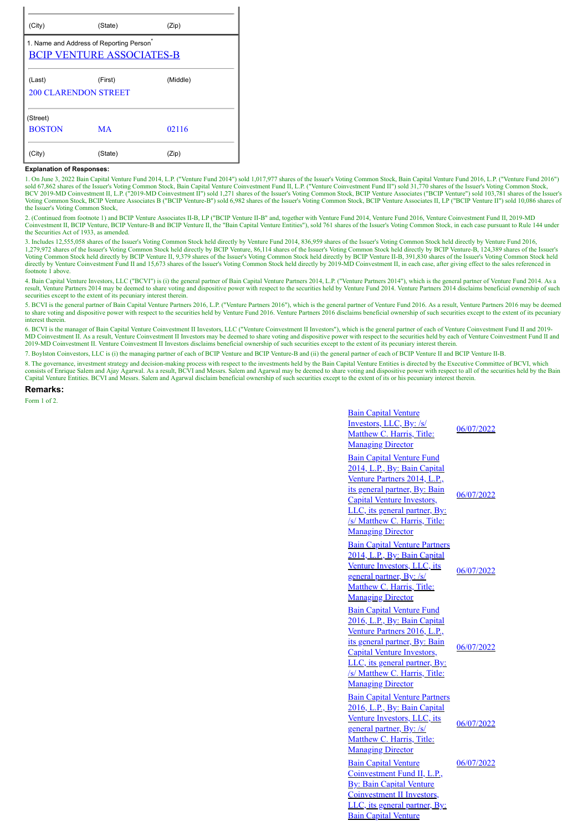| (State)                                                                     | (Zip)    |
|-----------------------------------------------------------------------------|----------|
| 1. Name and Address of Reporting Person<br><b>BCIP VENTURE ASSOCIATES-B</b> |          |
| (First)                                                                     | (Middle) |
| <b>200 CLARENDON STREET</b>                                                 |          |
|                                                                             |          |
| MA                                                                          | 02116    |
| (State)                                                                     | (Zip)    |
|                                                                             |          |

## **Explanation of Responses:**

1. On June 3, 2022 Bain Capital Venture Fund 2014, L.P. ("Venture Fund 2014") sold 1,017,977 shares of the Issuer's Voting Common Stock, Bain Capital Venture Fund 2016, L.P. ("Venture Fund 2016")<br>BCV 2019-MD Coinvestment I the Issuer's Voting Common Stock,

2. (Continued from footnote 1) and BCIP Venture Associates II-B, LP ("BCIP Venture II-B" and, together with Venture Fund 2014, Venture Fund 2016, Venture Coinvestment Fund II, 2019-MD<br>Coinvestment II, BCIP Venture, BCIP Ve the Securities Act of 1933, as amended.

3. Includes 12,555,058 shares of the Issuer's Voting Common Stock held directly by Venture Fund 2014, 836,959 shares of the Issuer's Voting Common Stock held directly by Venture Fund 2016,<br>1,279,972 shares of the Issuer's Voting Common Stock held directly by BCIP Venture II, 9,379 shares of the Issuer's Voting Common Stock held directly by BCIP Venture II-B, 391,830 shares of the Issuer's Voting Common Stock held<br>directly by Venture Coinves footnote 1 above.

4. Bain Capital Venture Investors, LLC ("BCVI") is (i) the general partner of Bain Capital Venture Partners 2014, L.P. ("Venture Partners 2014"), which is the general partner of Venture Fund 2014. As a<br>result, Venture Part securities except to the extent of its pecuniary interest therein.

5. BCVI is the general partner of Bain Capital Venture Partners 2016, L.P. ("Venture Partners 2016"), which is the general partner of Venture Fund 2016. As a result, Venture Partners 2016 may be deemed to share voting and dispositive power with respect to the securities held by Venture Fund 2016. Venture Partners 2016 disclaims beneficial ownership of such securities except to the extent of its pecuniary interest therein.

6. BCVI is the manager of Bain Capital Venture Coinvestment II Investors, LLC ("Venture Coinvestment II Investors"), which is the general partner of each of Venture Coinvestment Fund II and 2019- MD Coinvestment II. As a result, Venture Coinvestment II Investors may be deemed to share voting and dispositive power with respect to the securities held by each of Venture Coinvestment Fund II and 2019-MD Coinvestment II. Venture Coinvestment II Investors disclaims beneficial ownership of such securities except to the extent of its pecuniary interest therein.

7. Boylston Coinvestors, LLC is (i) the managing partner of each of BCIP Venture and BCIP Venture-B and (ii) the general partner of each of BCIP Venture II and BCIP Venture II-B.

8. The governance, investment strategy and decision-making process with respect to the investments held by the Bain Capital Venture Entities is directed by the Executive Committee of BCVI, which consists of Enrique Salem a

## **Remarks:**

Form 1 of 2.

| <b>Bain Capital Venture</b><br>Investors, LLC, By: /s/<br>Matthew C. Harris, Title:<br><b>Managing Director</b>                                                                                                                                                      | 06/07/2022 |
|----------------------------------------------------------------------------------------------------------------------------------------------------------------------------------------------------------------------------------------------------------------------|------------|
| <b>Bain Capital Venture Fund</b><br>2014, L.P., By: Bain Capital<br>Venture Partners 2014, L.P.,<br>its general partner, By: Bain<br><b>Capital Venture Investors,</b><br>LLC, its general partner, By:<br>/s/ Matthew C. Harris, Title:<br><b>Managing Director</b> | 06/07/2022 |
| <b>Bain Capital Venture Partners</b><br>2014, L.P., By: Bain Capital<br>Venture Investors, LLC, its<br>general partner, By: /s/<br>Matthew C. Harris, Title:<br><b>Managing Director</b>                                                                             | 06/07/2022 |
| <b>Bain Capital Venture Fund</b><br>2016, L.P., By: Bain Capital<br>Venture Partners 2016, L.P.,<br>its general partner, By: Bain<br><b>Capital Venture Investors,</b><br>LLC, its general partner, By:<br>/s/ Matthew C. Harris, Title:<br><b>Managing Director</b> | 06/07/2022 |
| <b>Bain Capital Venture Partners</b><br>2016, L.P., By: Bain Capital<br>Venture Investors, LLC, its<br>general partner, By: /s/<br>Matthew C. Harris, Title:<br><b>Managing Director</b>                                                                             | 06/07/2022 |
| <b>Bain Capital Venture</b><br>Coinvestment Fund II, L.P.,<br><b>By: Bain Capital Venture</b><br>Coinvestment II Investors,<br>LLC, its general partner, By:<br><b>Bain Capital Venture</b>                                                                          | 06/07/2022 |